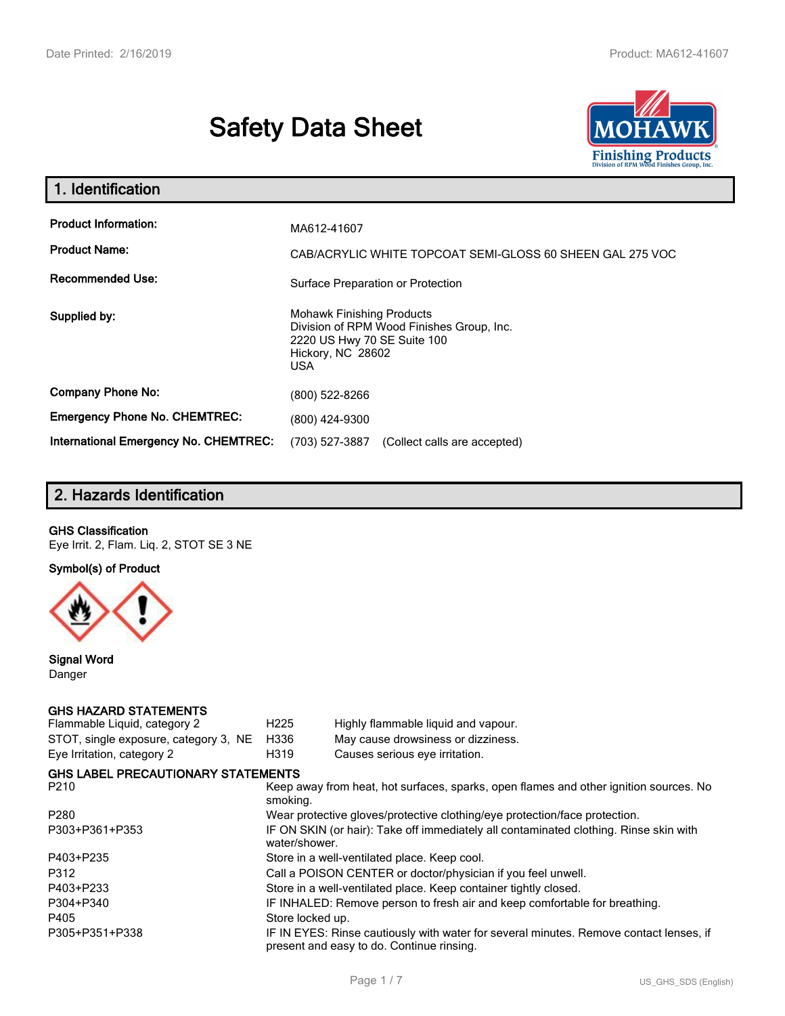# **Safety Data Sheet**



| 1. Identification                                                              |                                                                                                                                          |
|--------------------------------------------------------------------------------|------------------------------------------------------------------------------------------------------------------------------------------|
| <b>Product Information:</b><br><b>Product Name:</b><br><b>Recommended Use:</b> | MA612-41607<br>CAB/ACRYLIC WHITE TOPCOAT SEMI-GLOSS 60 SHEEN GAL 275 VOC<br>Surface Preparation or Protection                            |
| Supplied by:                                                                   | <b>Mohawk Finishing Products</b><br>Division of RPM Wood Finishes Group, Inc.<br>2220 US Hwy 70 SE Suite 100<br>Hickory, NC 28602<br>USA |
| <b>Company Phone No:</b>                                                       | (800) 522-8266                                                                                                                           |
| <b>Emergency Phone No. CHEMTREC:</b>                                           | (800) 424-9300                                                                                                                           |
| International Emergency No. CHEMTREC:                                          | (703) 527-3887<br>(Collect calls are accepted)                                                                                           |

# **2. Hazards Identification**

#### **GHS Classification**

Eye Irrit. 2, Flam. Liq. 2, STOT SE 3 NE

**Symbol(s) of Product**



**Signal Word** Danger

## **GHS HAZARD STATEMENTS**

| Flammable Liquid, category 2              | H <sub>225</sub>                                                                                       | Highly flammable liquid and vapour.                                                                                                 |  |
|-------------------------------------------|--------------------------------------------------------------------------------------------------------|-------------------------------------------------------------------------------------------------------------------------------------|--|
| STOT, single exposure, category 3, NE     | H336                                                                                                   | May cause drowsiness or dizziness.                                                                                                  |  |
| Eye Irritation, category 2                | H319                                                                                                   | Causes serious eye irritation.                                                                                                      |  |
| <b>GHS LABEL PRECAUTIONARY STATEMENTS</b> |                                                                                                        |                                                                                                                                     |  |
| P210                                      | Keep away from heat, hot surfaces, sparks, open flames and other ignition sources. No<br>smoking.      |                                                                                                                                     |  |
| P280                                      |                                                                                                        | Wear protective gloves/protective clothing/eye protection/face protection.                                                          |  |
| P303+P361+P353                            | IF ON SKIN (or hair): Take off immediately all contaminated clothing. Rinse skin with<br>water/shower. |                                                                                                                                     |  |
| P403+P235                                 | Store in a well-ventilated place. Keep cool.                                                           |                                                                                                                                     |  |
| P312                                      | Call a POISON CENTER or doctor/physician if you feel unwell.                                           |                                                                                                                                     |  |
| P403+P233                                 |                                                                                                        | Store in a well-ventilated place. Keep container tightly closed.                                                                    |  |
| P304+P340                                 | IF INHALED: Remove person to fresh air and keep comfortable for breathing.                             |                                                                                                                                     |  |
| P405                                      | Store locked up.                                                                                       |                                                                                                                                     |  |
| P305+P351+P338                            |                                                                                                        | IF IN EYES: Rinse cautiously with water for several minutes. Remove contact lenses, if<br>present and easy to do. Continue rinsing. |  |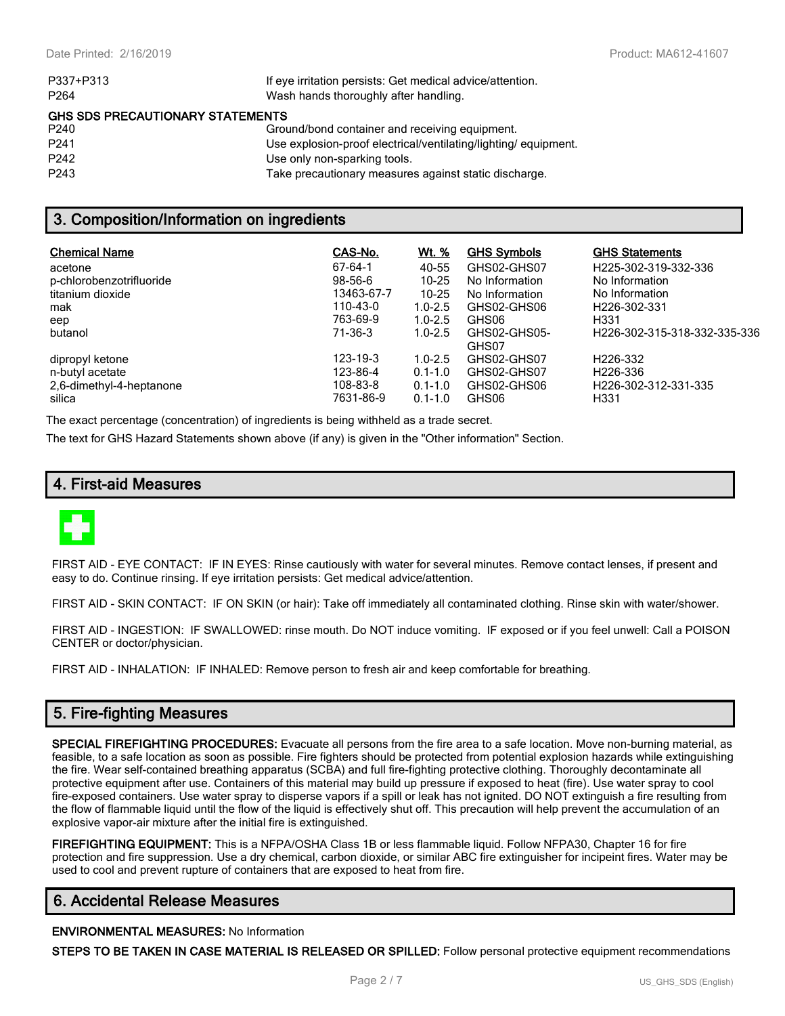| P337+P313                               | If eye irritation persists: Get medical advice/attention.      |
|-----------------------------------------|----------------------------------------------------------------|
| P <sub>264</sub>                        | Wash hands thoroughly after handling.                          |
| <b>GHS SDS PRECAUTIONARY STATEMENTS</b> |                                                                |
| P <sub>240</sub>                        | Ground/bond container and receiving equipment.                 |
| P <sub>241</sub>                        | Use explosion-proof electrical/ventilating/lighting/equipment. |
| P <sub>242</sub>                        | Use only non-sparking tools.                                   |
| P <sub>243</sub>                        | Take precautionary measures against static discharge.          |

## **3. Composition/Information on ingredients**

| <b>Chemical Name</b>               | CAS-No.               | Wt. %                      | <b>GHS Symbols</b>    | <b>GHS Statements</b>                    |
|------------------------------------|-----------------------|----------------------------|-----------------------|------------------------------------------|
| acetone                            | 67-64-1               | 40-55                      | GHS02-GHS07           | H225-302-319-332-336                     |
| p-chlorobenzotrifluoride           | $98 - 56 - 6$         | $10 - 25$                  | No Information        | No Information                           |
| titanium dioxide                   | 13463-67-7            | $10 - 25$                  | No Information        | No Information                           |
| mak                                | 110-43-0              | $1.0 - 2.5$                | GHS02-GHS06           | H226-302-331                             |
| eep                                | 763-69-9              | $1.0 - 2.5$                | GHS06                 | H <sub>331</sub>                         |
| butanol                            | 71-36-3               | $1.0 - 2.5$                | GHS02-GHS05-<br>GHS07 | H226-302-315-318-332-335-336             |
| dipropyl ketone                    | 123-19-3              | $1.0 - 2.5$                | GHS02-GHS07           | H <sub>226</sub> -332                    |
| n-butyl acetate                    | 123-86-4              | $0.1 - 1.0$                | GHS02-GHS07           | H <sub>226</sub> -336                    |
| 2,6-dimethyl-4-heptanone<br>silica | 108-83-8<br>7631-86-9 | $0.1 - 1.0$<br>$0.1 - 1.0$ | GHS02-GHS06<br>GHS06  | H226-302-312-331-335<br>H <sub>331</sub> |

The exact percentage (concentration) of ingredients is being withheld as a trade secret.

The text for GHS Hazard Statements shown above (if any) is given in the "Other information" Section.

### **4. First-aid Measures**



FIRST AID - EYE CONTACT: IF IN EYES: Rinse cautiously with water for several minutes. Remove contact lenses, if present and easy to do. Continue rinsing. If eye irritation persists: Get medical advice/attention.

FIRST AID - SKIN CONTACT: IF ON SKIN (or hair): Take off immediately all contaminated clothing. Rinse skin with water/shower.

FIRST AID - INGESTION: IF SWALLOWED: rinse mouth. Do NOT induce vomiting. IF exposed or if you feel unwell: Call a POISON CENTER or doctor/physician.

FIRST AID - INHALATION: IF INHALED: Remove person to fresh air and keep comfortable for breathing.

## **5. Fire-fighting Measures**

**SPECIAL FIREFIGHTING PROCEDURES:** Evacuate all persons from the fire area to a safe location. Move non-burning material, as feasible, to a safe location as soon as possible. Fire fighters should be protected from potential explosion hazards while extinguishing the fire. Wear self-contained breathing apparatus (SCBA) and full fire-fighting protective clothing. Thoroughly decontaminate all protective equipment after use. Containers of this material may build up pressure if exposed to heat (fire). Use water spray to cool fire-exposed containers. Use water spray to disperse vapors if a spill or leak has not ignited. DO NOT extinguish a fire resulting from the flow of flammable liquid until the flow of the liquid is effectively shut off. This precaution will help prevent the accumulation of an explosive vapor-air mixture after the initial fire is extinguished.

**FIREFIGHTING EQUIPMENT:** This is a NFPA/OSHA Class 1B or less flammable liquid. Follow NFPA30, Chapter 16 for fire protection and fire suppression. Use a dry chemical, carbon dioxide, or similar ABC fire extinguisher for incipeint fires. Water may be used to cool and prevent rupture of containers that are exposed to heat from fire.

## **6. Accidental Release Measures**

#### **ENVIRONMENTAL MEASURES:** No Information

**STEPS TO BE TAKEN IN CASE MATERIAL IS RELEASED OR SPILLED:** Follow personal protective equipment recommendations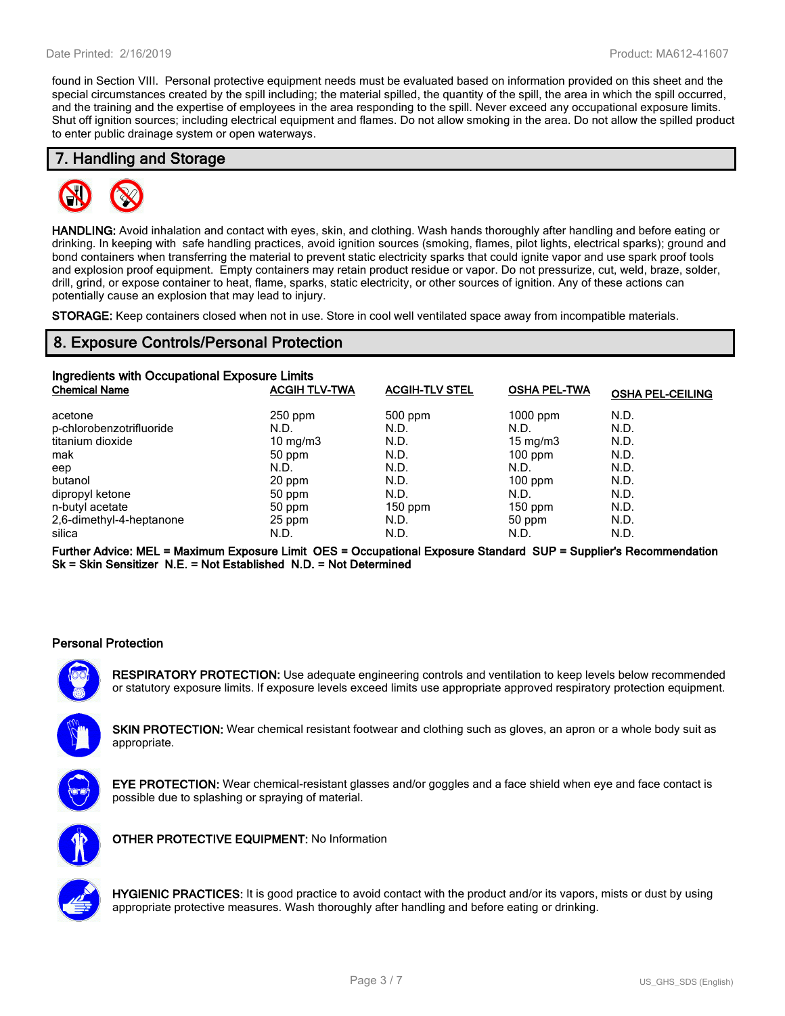found in Section VIII. Personal protective equipment needs must be evaluated based on information provided on this sheet and the special circumstances created by the spill including; the material spilled, the quantity of the spill, the area in which the spill occurred, and the training and the expertise of employees in the area responding to the spill. Never exceed any occupational exposure limits. Shut off ignition sources; including electrical equipment and flames. Do not allow smoking in the area. Do not allow the spilled product to enter public drainage system or open waterways.

## **7. Handling and Storage**



**HANDLING:** Avoid inhalation and contact with eyes, skin, and clothing. Wash hands thoroughly after handling and before eating or drinking. In keeping with safe handling practices, avoid ignition sources (smoking, flames, pilot lights, electrical sparks); ground and bond containers when transferring the material to prevent static electricity sparks that could ignite vapor and use spark proof tools and explosion proof equipment. Empty containers may retain product residue or vapor. Do not pressurize, cut, weld, braze, solder, drill, grind, or expose container to heat, flame, sparks, static electricity, or other sources of ignition. Any of these actions can potentially cause an explosion that may lead to injury.

**STORAGE:** Keep containers closed when not in use. Store in cool well ventilated space away from incompatible materials.

## **8. Exposure Controls/Personal Protection**

| Ingredients with Occupational Exposure Limits |                      |                       |                     |                         |  |
|-----------------------------------------------|----------------------|-----------------------|---------------------|-------------------------|--|
| <b>Chemical Name</b>                          | <b>ACGIH TLV-TWA</b> | <b>ACGIH-TLV STEL</b> | <b>OSHA PEL-TWA</b> | <b>OSHA PEL-CEILING</b> |  |
| acetone                                       | $250$ ppm            | $500$ ppm             | $1000$ ppm          | N.D.                    |  |
| p-chlorobenzotrifluoride                      | N.D.                 | N.D.                  | N.D.                | N.D.                    |  |
| titanium dioxide                              | $10 \text{ mg/m}$    | N.D.                  | $15 \text{ mg/m}$   | N.D.                    |  |
| mak                                           | 50 ppm               | N.D.                  | $100$ ppm           | N.D.                    |  |
| eep                                           | N.D.                 | N.D.                  | N.D.                | N.D.                    |  |
| butanol                                       | 20 ppm               | N.D.                  | $100$ ppm           | N.D.                    |  |
| dipropyl ketone                               | 50 ppm               | N.D.                  | N.D.                | N.D.                    |  |
| n-butyl acetate                               | 50 ppm               | $150$ ppm             | $150$ ppm           | N.D.                    |  |
| 2,6-dimethyl-4-heptanone                      | 25 ppm               | N.D.                  | 50 ppm              | N.D.                    |  |
| silica                                        | N.D.                 | N.D.                  | N.D.                | N.D.                    |  |

**Further Advice: MEL = Maximum Exposure Limit OES = Occupational Exposure Standard SUP = Supplier's Recommendation Sk = Skin Sensitizer N.E. = Not Established N.D. = Not Determined**

#### **Personal Protection**

**RESPIRATORY PROTECTION:** Use adequate engineering controls and ventilation to keep levels below recommended or statutory exposure limits. If exposure levels exceed limits use appropriate approved respiratory protection equipment.

**SKIN PROTECTION:** Wear chemical resistant footwear and clothing such as gloves, an apron or a whole body suit as appropriate.



**EYE PROTECTION:** Wear chemical-resistant glasses and/or goggles and a face shield when eye and face contact is possible due to splashing or spraying of material.



**OTHER PROTECTIVE EQUIPMENT:** No Information



**HYGIENIC PRACTICES:** It is good practice to avoid contact with the product and/or its vapors, mists or dust by using appropriate protective measures. Wash thoroughly after handling and before eating or drinking.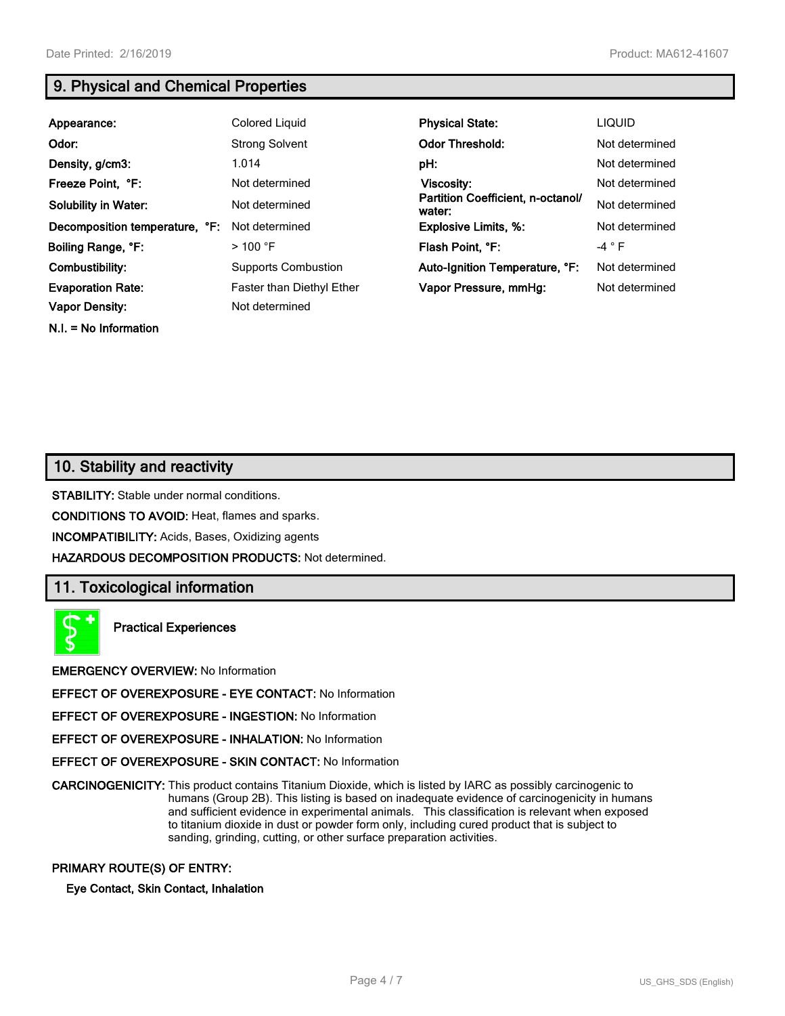**N.I. = No Information**

# **9. Physical and Chemical Properties**

| Appearance:                    | <b>Colored Liquid</b>      | <b>Physical State:</b>                      | <b>LIQUID</b>  |
|--------------------------------|----------------------------|---------------------------------------------|----------------|
| Odor:                          | <b>Strong Solvent</b>      | <b>Odor Threshold:</b>                      | Not determined |
| Density, g/cm3:                | 1.014                      | pH:                                         | Not determined |
| Freeze Point, °F:              | Not determined             | Viscosity:                                  | Not determined |
| <b>Solubility in Water:</b>    | Not determined             | Partition Coefficient, n-octanol/<br>water: | Not determined |
| Decomposition temperature, °F: | Not determined             | <b>Explosive Limits, %:</b>                 | Not determined |
| Boiling Range, °F:             | $>100$ °F                  | Flash Point, °F:                            | -4 $\degree$ F |
| Combustibility:                | <b>Supports Combustion</b> | Auto-Ignition Temperature, °F:              | Not determined |
| <b>Evaporation Rate:</b>       | Faster than Diethyl Ether  | Vapor Pressure, mmHq:                       | Not determined |
| <b>Vapor Density:</b>          | Not determined             |                                             |                |

# **10. Stability and reactivity**

**STABILITY:** Stable under normal conditions.

**CONDITIONS TO AVOID:** Heat, flames and sparks.

**INCOMPATIBILITY:** Acids, Bases, Oxidizing agents

**HAZARDOUS DECOMPOSITION PRODUCTS:** Not determined.

## **11. Toxicological information**



**Practical Experiences**

**EMERGENCY OVERVIEW:** No Information

**EFFECT OF OVEREXPOSURE - EYE CONTACT:** No Information

**EFFECT OF OVEREXPOSURE - INGESTION:** No Information

**EFFECT OF OVEREXPOSURE - INHALATION:** No Information

**EFFECT OF OVEREXPOSURE - SKIN CONTACT:** No Information

**CARCINOGENICITY:** This product contains Titanium Dioxide, which is listed by IARC as possibly carcinogenic to humans (Group 2B). This listing is based on inadequate evidence of carcinogenicity in humans and sufficient evidence in experimental animals. This classification is relevant when exposed to titanium dioxide in dust or powder form only, including cured product that is subject to sanding, grinding, cutting, or other surface preparation activities.

#### **PRIMARY ROUTE(S) OF ENTRY:**

**Eye Contact, Skin Contact, Inhalation**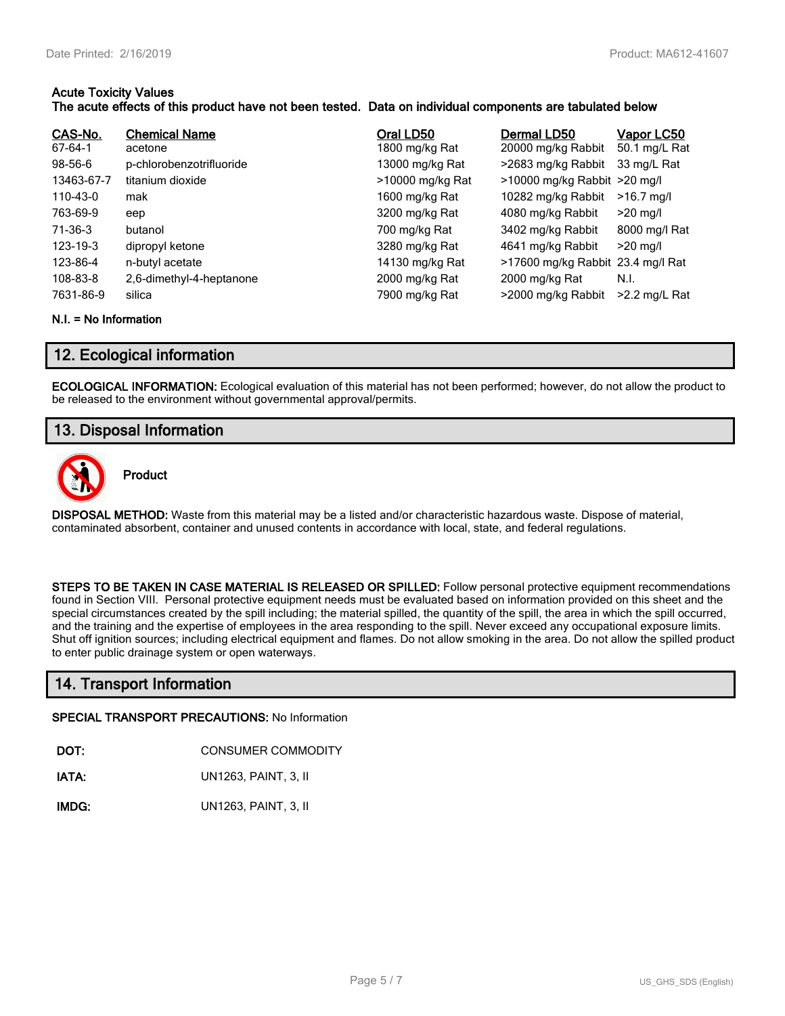#### **Acute Toxicity Values The acute effects of this product have not been tested. Data on individual components are tabulated below**

| CAS-No.<br>67-64-1<br>$98 - 56 - 6$<br>13463-67-7<br>110-43-0<br>763-69-9<br>71-36-3<br>123-19-3<br>123-86-4 | <b>Chemical Name</b><br>acetone<br>p-chlorobenzotrifluoride<br>titanium dioxide<br>mak<br>eep<br>butanol<br>dipropyl ketone<br>n-butyl acetate | Oral LD50<br>1800 mg/kg Rat<br>13000 mg/kg Rat<br>>10000 mg/kg Rat<br>1600 mg/kg Rat<br>3200 mg/kg Rat<br>700 mg/kg Rat<br>3280 mg/kg Rat<br>14130 mg/kg Rat | Dermal LD50<br>20000 mg/kg Rabbit<br>>2683 mg/kg Rabbit<br>>10000 mg/kg Rabbit >20 mg/l<br>10282 mg/kg Rabbit<br>4080 mg/kg Rabbit<br>3402 mg/kg Rabbit<br>4641 mg/kg Rabbit<br>>17600 mg/kg Rabbit 23.4 mg/l Rat | <b>Vapor LC50</b><br>50.1 mg/L Rat<br>33 mg/L Rat<br>$>16.7$ mg/l<br>$>20$ mg/l<br>8000 mg/l Rat<br>$>20$ mg/l |
|--------------------------------------------------------------------------------------------------------------|------------------------------------------------------------------------------------------------------------------------------------------------|--------------------------------------------------------------------------------------------------------------------------------------------------------------|-------------------------------------------------------------------------------------------------------------------------------------------------------------------------------------------------------------------|----------------------------------------------------------------------------------------------------------------|
| 108-83-8                                                                                                     | 2,6-dimethyl-4-heptanone                                                                                                                       | 2000 mg/kg Rat                                                                                                                                               | 2000 mg/kg Rat                                                                                                                                                                                                    | N.I.                                                                                                           |
| 7631-86-9                                                                                                    | silica                                                                                                                                         | 7900 mg/kg Rat                                                                                                                                               | >2000 mg/kg Rabbit                                                                                                                                                                                                | $>2.2$ mg/L Rat                                                                                                |

#### **N.I. = No Information**

## **12. Ecological information**

**ECOLOGICAL INFORMATION:** Ecological evaluation of this material has not been performed; however, do not allow the product to be released to the environment without governmental approval/permits.

## **13. Disposal Information**



**Product**

**DISPOSAL METHOD:** Waste from this material may be a listed and/or characteristic hazardous waste. Dispose of material, contaminated absorbent, container and unused contents in accordance with local, state, and federal regulations.

**STEPS TO BE TAKEN IN CASE MATERIAL IS RELEASED OR SPILLED:** Follow personal protective equipment recommendations found in Section VIII. Personal protective equipment needs must be evaluated based on information provided on this sheet and the special circumstances created by the spill including; the material spilled, the quantity of the spill, the area in which the spill occurred, and the training and the expertise of employees in the area responding to the spill. Never exceed any occupational exposure limits. Shut off ignition sources; including electrical equipment and flames. Do not allow smoking in the area. Do not allow the spilled product to enter public drainage system or open waterways.

## **14. Transport Information**

#### **SPECIAL TRANSPORT PRECAUTIONS:** No Information

**DOT:** CONSUMER COMMODITY

**IATA:** UN1263, PAINT, 3, II

**IMDG:** UN1263, PAINT, 3, II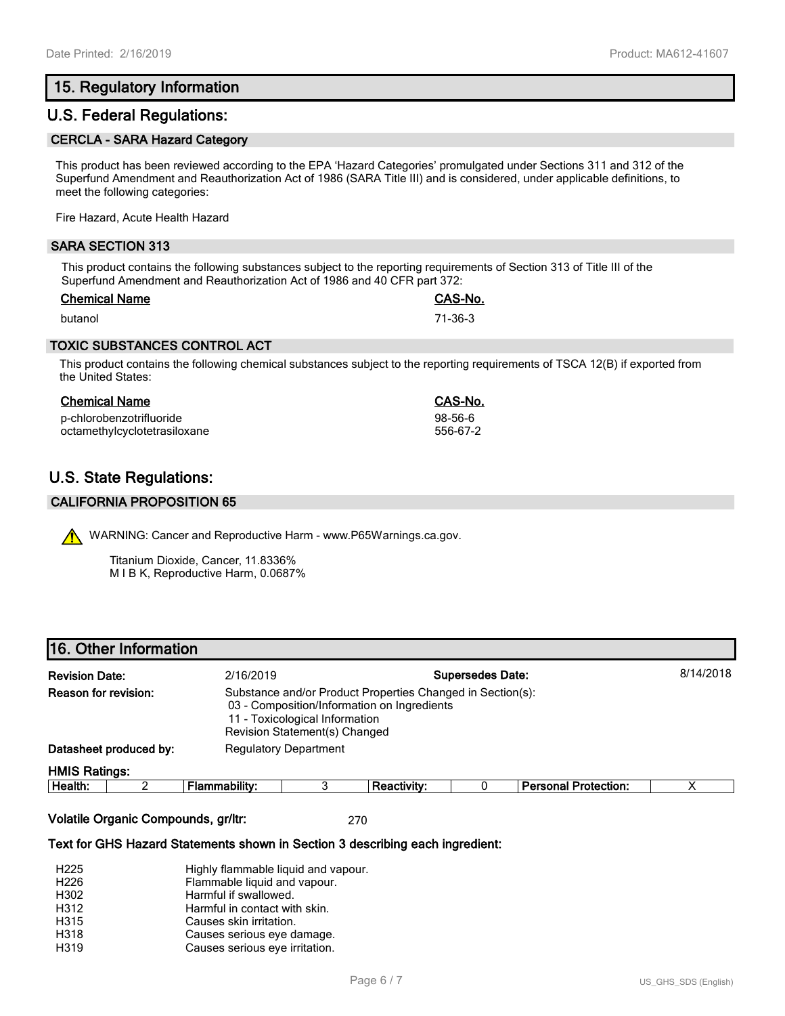# **15. Regulatory Information**

## **U.S. Federal Regulations:**

#### **CERCLA - SARA Hazard Category**

This product has been reviewed according to the EPA 'Hazard Categories' promulgated under Sections 311 and 312 of the Superfund Amendment and Reauthorization Act of 1986 (SARA Title III) and is considered, under applicable definitions, to meet the following categories:

Fire Hazard, Acute Health Hazard

#### **SARA SECTION 313**

This product contains the following substances subject to the reporting requirements of Section 313 of Title III of the Superfund Amendment and Reauthorization Act of 1986 and 40 CFR part 372:

| <b>Chemical Name</b> | <b>CAS-No.</b> |
|----------------------|----------------|
| butanol              | 71-36-3        |

#### **TOXIC SUBSTANCES CONTROL ACT**

This product contains the following chemical substances subject to the reporting requirements of TSCA 12(B) if exported from the United States:

#### **Chemical Name CAS-No.**

p-chlorobenzotrifluoride 98-56-6 octamethylcyclotetrasiloxane

# **U.S. State Regulations:**

#### **CALIFORNIA PROPOSITION 65**

WARNING: Cancer and Reproductive Harm - www.P65Warnings.ca.gov.

Titanium Dioxide, Cancer, 11.8336% M I B K, Reproductive Harm, 0.0687%

## **16. Other Information**

| <b>Revision Date:</b>                                                                                                                                                                                       |                        | 2/16/2019                    |  |                    | <b>Supersedes Date:</b> |                             | 8/14/2018 |
|-------------------------------------------------------------------------------------------------------------------------------------------------------------------------------------------------------------|------------------------|------------------------------|--|--------------------|-------------------------|-----------------------------|-----------|
| <b>Reason for revision:</b><br>Substance and/or Product Properties Changed in Section(s):<br>03 - Composition/Information on Ingredients<br>11 - Toxicological Information<br>Revision Statement(s) Changed |                        |                              |  |                    |                         |                             |           |
|                                                                                                                                                                                                             | Datasheet produced by: | <b>Regulatory Department</b> |  |                    |                         |                             |           |
| <b>HMIS Ratings:</b>                                                                                                                                                                                        |                        |                              |  |                    |                         |                             |           |
| Health:                                                                                                                                                                                                     |                        | Flammability:                |  | <b>Reactivity:</b> |                         | <b>Personal Protection:</b> | Χ         |

**Volatile Organic Compounds, gr/ltr:** 270

#### **Text for GHS Hazard Statements shown in Section 3 describing each ingredient:**

| H <sub>225</sub> | Highly flammable liquid and vapour. |
|------------------|-------------------------------------|
| H <sub>226</sub> | Flammable liquid and vapour.        |
| H302             | Harmful if swallowed.               |
| H312             | Harmful in contact with skin.       |
| H315             | Causes skin irritation.             |
| H318             | Causes serious eye damage.          |
| H319             | Causes serious eye irritation.      |